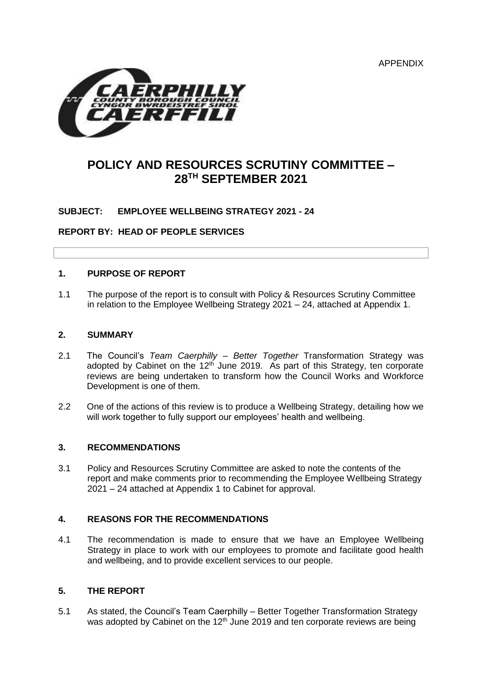APPENDIX



# **POLICY AND RESOURCES SCRUTINY COMMITTEE – 28TH SEPTEMBER 2021**

## **SUBJECT: EMPLOYEE WELLBEING STRATEGY 2021 - 24**

**REPORT BY: HEAD OF PEOPLE SERVICES** 

#### **1. PURPOSE OF REPORT**

1.1 The purpose of the report is to consult with Policy & Resources Scrutiny Committee in relation to the Employee Wellbeing Strategy 2021 – 24, attached at Appendix 1.

#### **2. SUMMARY**

- 2.1 The Council's *Team Caerphilly – Better Together* Transformation Strategy was adopted by Cabinet on the  $12<sup>th</sup>$  June 2019. As part of this Strategy, ten corporate reviews are being undertaken to transform how the Council Works and Workforce Development is one of them.
- 2.2 One of the actions of this review is to produce a Wellbeing Strategy, detailing how we will work together to fully support our employees' health and wellbeing.

#### **3. RECOMMENDATIONS**

3.1 Policy and Resources Scrutiny Committee are asked to note the contents of the report and make comments prior to recommending the Employee Wellbeing Strategy 2021 – 24 attached at Appendix 1 to Cabinet for approval.

#### **4. REASONS FOR THE RECOMMENDATIONS**

4.1 The recommendation is made to ensure that we have an Employee Wellbeing Strategy in place to work with our employees to promote and facilitate good health and wellbeing, and to provide excellent services to our people.

#### **5. THE REPORT**

5.1 As stated, the Council's Team Caerphilly – Better Together Transformation Strategy was adopted by Cabinet on the 12<sup>th</sup> June 2019 and ten corporate reviews are being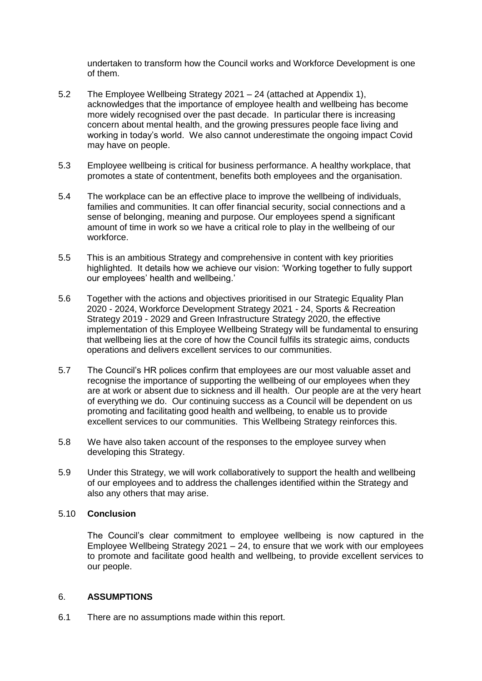undertaken to transform how the Council works and Workforce Development is one of them.

- 5.2 The Employee Wellbeing Strategy 2021 24 (attached at Appendix 1), acknowledges that the importance of employee health and wellbeing has become more widely recognised over the past decade. In particular there is increasing concern about mental health, and the growing pressures people face living and working in today's world. We also cannot underestimate the ongoing impact Covid may have on people.
- 5.3 Employee wellbeing is critical for business performance. A healthy workplace, that promotes a state of contentment, benefits both employees and the organisation.
- 5.4 The workplace can be an effective place to improve the wellbeing of individuals, families and communities. It can offer financial security, social connections and a sense of belonging, meaning and purpose. Our employees spend a significant amount of time in work so we have a critical role to play in the wellbeing of our workforce.
- 5.5 This is an ambitious Strategy and comprehensive in content with key priorities highlighted. It details how we achieve our vision: 'Working together to fully support our employees' health and wellbeing.'
- 5.6 Together with the actions and objectives prioritised in our Strategic Equality Plan 2020 - 2024, Workforce Development Strategy 2021 - 24, Sports & Recreation Strategy 2019 - 2029 and Green Infrastructure Strategy 2020, the effective implementation of this Employee Wellbeing Strategy will be fundamental to ensuring that wellbeing lies at the core of how the Council fulfils its strategic aims, conducts operations and delivers excellent services to our communities.
- 5.7 The Council's HR polices confirm that employees are our most valuable asset and recognise the importance of supporting the wellbeing of our employees when they are at work or absent due to sickness and ill health. Our people are at the very heart of everything we do. Our continuing success as a Council will be dependent on us promoting and facilitating good health and wellbeing, to enable us to provide excellent services to our communities. This Wellbeing Strategy reinforces this.
- 5.8 We have also taken account of the responses to the employee survey when developing this Strategy.
- 5.9 Under this Strategy, we will work collaboratively to support the health and wellbeing of our employees and to address the challenges identified within the Strategy and also any others that may arise.

## 5.10 **Conclusion**

The Council's clear commitment to employee wellbeing is now captured in the Employee Wellbeing Strategy 2021 – 24, to ensure that we work with our employees to promote and facilitate good health and wellbeing, to provide excellent services to our people.

#### 6. **ASSUMPTIONS**

6.1 There are no assumptions made within this report.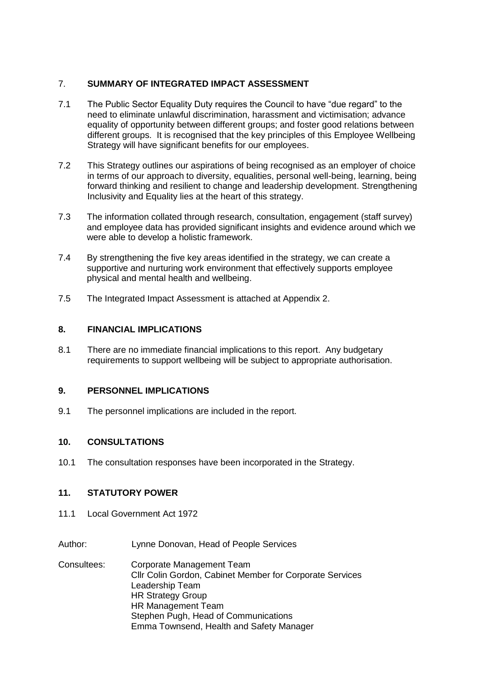## 7. **SUMMARY OF INTEGRATED IMPACT ASSESSMENT**

- 7.1 The Public Sector Equality Duty requires the Council to have "due regard" to the need to eliminate unlawful discrimination, harassment and victimisation; advance equality of opportunity between different groups; and foster good relations between different groups. It is recognised that the key principles of this Employee Wellbeing Strategy will have significant benefits for our employees.
- 7.2 This Strategy outlines our aspirations of being recognised as an employer of choice in terms of our approach to diversity, equalities, personal well-being, learning, being forward thinking and resilient to change and leadership development. Strengthening Inclusivity and Equality lies at the heart of this strategy.
- 7.3 The information collated through research, consultation, engagement (staff survey) and employee data has provided significant insights and evidence around which we were able to develop a holistic framework.
- 7.4 By strengthening the five key areas identified in the strategy, we can create a supportive and nurturing work environment that effectively supports employee physical and mental health and wellbeing.
- 7.5 The Integrated Impact Assessment is attached at Appendix 2.

## **8. FINANCIAL IMPLICATIONS**

8.1 There are no immediate financial implications to this report. Any budgetary requirements to support wellbeing will be subject to appropriate authorisation.

## **9. PERSONNEL IMPLICATIONS**

9.1 The personnel implications are included in the report.

## **10. CONSULTATIONS**

10.1 The consultation responses have been incorporated in the Strategy.

## **11. STATUTORY POWER**

- 11.1 Local Government Act 1972
- Author: Lynne Donovan, Head of People Services
- Consultees: Corporate Management Team Cllr Colin Gordon, Cabinet Member for Corporate Services Leadership Team HR Strategy Group HR Management Team Stephen Pugh, Head of Communications Emma Townsend, Health and Safety Manager